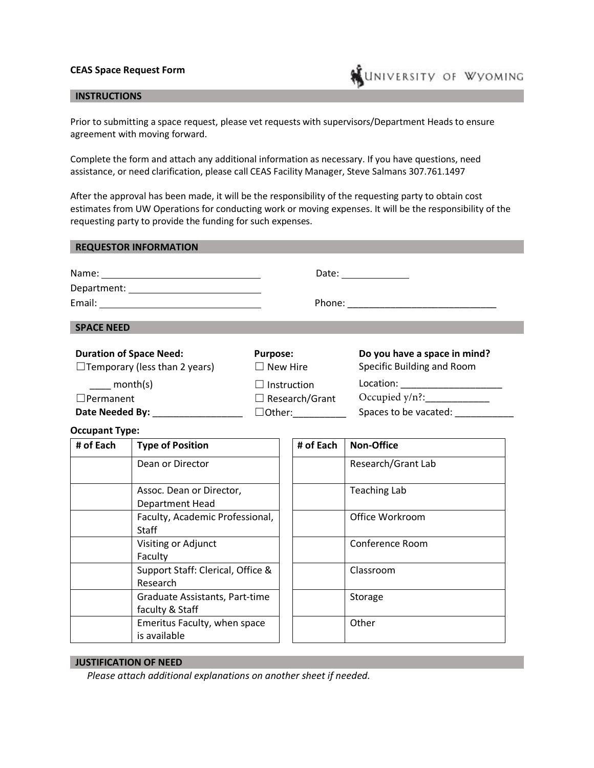## **CEAS Space Request Form**



Prior to submitting a space request, please vet requests with supervisors/Department Heads to ensure agreement with moving forward.

**WUNIVERSITY OF WYOMING** 

Complete the form and attach any additional information as necessary. If you have questions, need assistance, or need clarification, please call CEAS Facility Manager, Steve Salmans 307.761.1497

After the approval has been made, it will be the responsibility of the requesting party to obtain cost estimates from UW Operations for conducting work or moving expenses. It will be the responsibility of the requesting party to provide the funding for such expenses.

| <b>REQUESTOR INFORMATION</b> |                      |  |
|------------------------------|----------------------|--|
|                              | Date: ______________ |  |
|                              |                      |  |
|                              |                      |  |
| <b>SPACE NEED</b>            |                      |  |
|                              |                      |  |

| <b>Duration of Space Need:</b>       | <b>Purpose:</b>       | Do you have a space in mind? |
|--------------------------------------|-----------------------|------------------------------|
| $\Box$ Temporary (less than 2 years) | $\Box$ New Hire       | Specific Building and Room   |
| month(s)                             | $\Box$ Instruction    | Location:                    |
| $\Box$ Permanent                     | $\Box$ Research/Grant | Occupied $y/n$ ?:            |
| Date Needed By:                      | $\Box$ Other:         | Spaces to be vacated:        |

## **Occupant Type:**

| # of Each | <b>Type of Position</b>                           | # of Each | <b>Non-Office</b>   |
|-----------|---------------------------------------------------|-----------|---------------------|
|           | Dean or Director                                  |           | Research/Grant Lab  |
|           | Assoc. Dean or Director,<br>Department Head       |           | <b>Teaching Lab</b> |
|           | Faculty, Academic Professional,<br>Staff          |           | Office Workroom     |
|           | Visiting or Adjunct<br>Faculty                    |           | Conference Room     |
|           | Support Staff: Clerical, Office &<br>Research     |           | Classroom           |
|           | Graduate Assistants, Part-time<br>faculty & Staff |           | Storage             |
|           | Emeritus Faculty, when space<br>is available      |           | Other               |

## **JUSTIFICATION OF NEED**

*Please attach additional explanations on another sheet if needed.*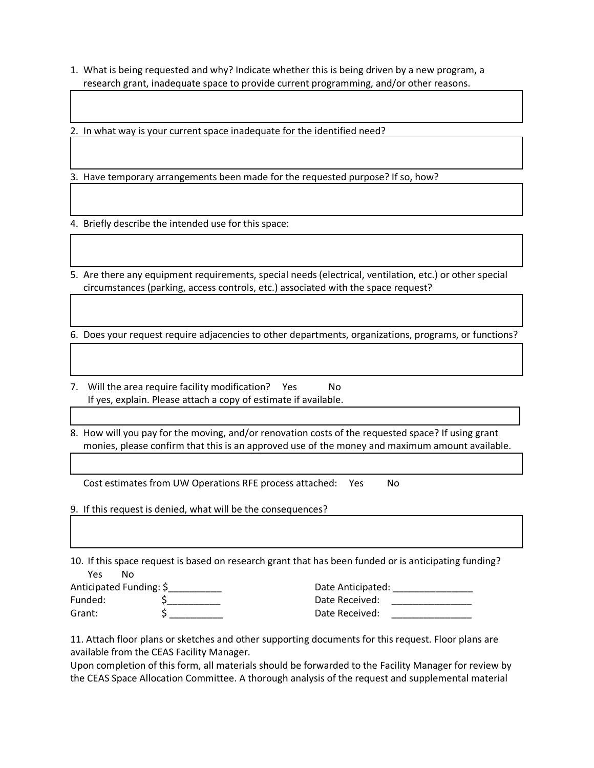1. What is being requested and why? Indicate whether this is being driven by a new program, a research grant, inadequate space to provide current programming, and/or other reasons.

2. In what way is your current space inadequate for the identified need?

3. Have temporary arrangements been made for the requested purpose? If so, how?

4. Briefly describe the intended use for this space:

5. Are there any equipment requirements, special needs (electrical, ventilation, etc.) or other special circumstances (parking, access controls, etc.) associated with the space request?

6. Does your request require adjacencies to other departments, organizations, programs, or functions?

7. Will the area require facility modification? Yes No If yes, explain. Please attach a copy of estimate if available.

8. How will you pay for the moving, and/or renovation costs of the requested space? If using grant monies, please confirm that this is an approved use of the money and maximum amount available.

Cost estimates from UW Operations RFE process attached: Yes No

9. If this request is denied, what will be the consequences?

10. If this space request is based on research grant that has been funded or is anticipating funding? Yes No

| Anticipated Funding: \$ | Date Anticipated: |
|-------------------------|-------------------|
| Funded:                 | Date Received:    |
| Grant:                  | Date Received:    |

11. Attach floor plans or sketches and other supporting documents for this request. Floor plans are available from the CEAS Facility Manager.

Upon completion of this form, all materials should be forwarded to the Facility Manager for review by the CEAS Space Allocation Committee. A thorough analysis of the request and supplemental material